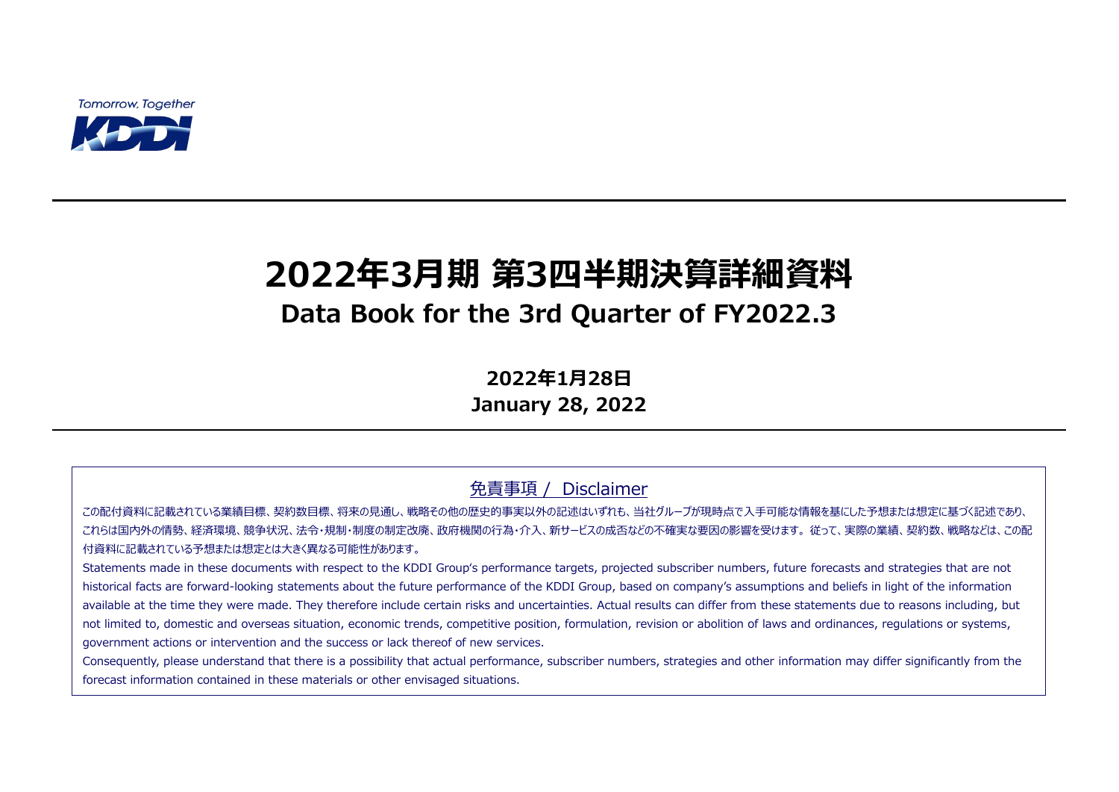**Tomorrow, Together** 



# **2022年3月期 第3四半期決算詳細資料 Data Book for the 3rd Quarter of FY2022.3**

**2022年1月28日 January 28, 2022**

免責事項 / Disclaimer

この配付資料に記載されている業績目標、契約数目標、将来の見通し、戦略その他の歴史的事実以外の記述はいずれも、当社グループが現時点で入手可能な情報を基にした予想または想定に基づく記述であり、 これらは国内外の情勢、経済環境、競争状況、法令・規制・制度の制定改廃、政府機関の行為・介入、新サービスの成否などの不確実な要因の影響を受けます。 従って、実際の業績、契約数、戦略などは、この配 付資料に記載されている予想または想定とは大きく異なる可能性があります。

Statements made in these documents with respect to the KDDI Group's performance targets, projected subscriber numbers, future forecasts and strategies that are not historical facts are forward-looking statements about the future performance of the KDDI Group, based on company's assumptions and beliefs in light of the information available at the time they were made. They therefore include certain risks and uncertainties. Actual results can differ from these statements due to reasons including, but not limited to, domestic and overseas situation, economic trends, competitive position, formulation, revision or abolition of laws and ordinances, regulations or systems, government actions or intervention and the success or lack thereof of new services.

Consequently, please understand that there is a possibility that actual performance, subscriber numbers, strategies and other information may differ significantly from the forecast information contained in these materials or other envisaged situations.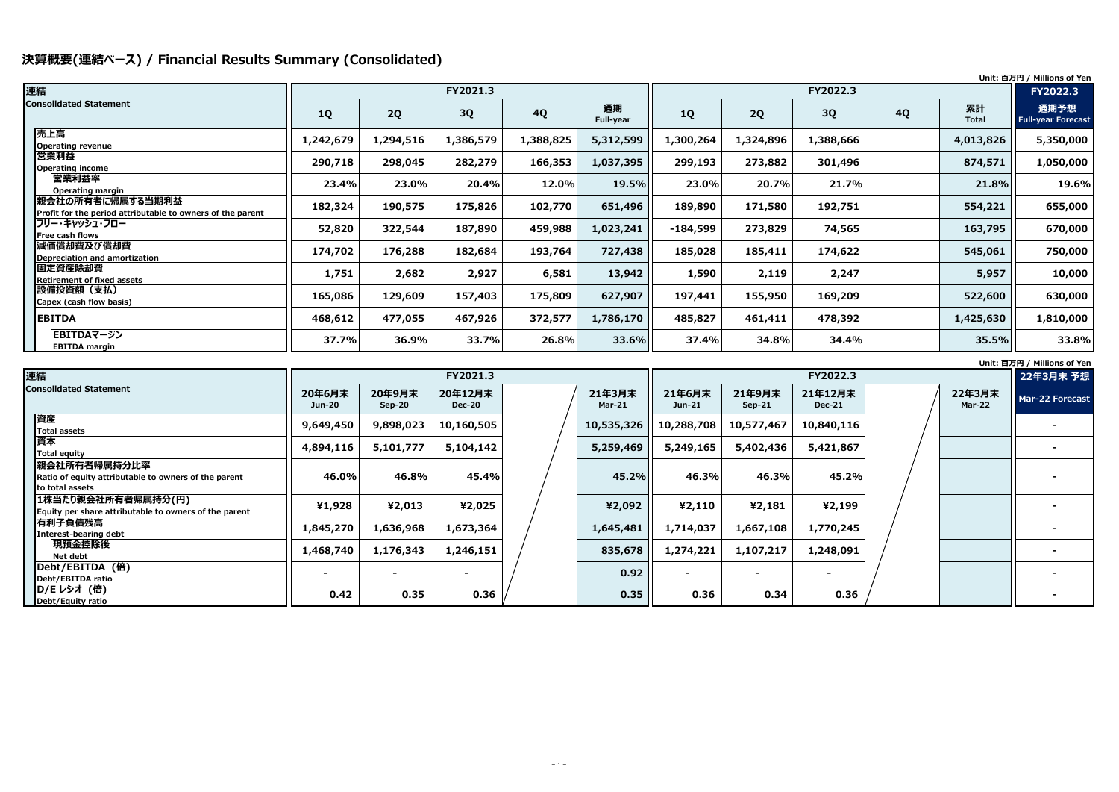# **決算概要(連結ベース) / Financial Results Summary (Consolidated)**

**Unit: 百万円 / Millions of Yen**

**Unit: 百万円 / Millions of Yen**

| 連結                                                                             |           |           | FY2021.3  |           |                 |            |           | FY2022.3  |           |                    |                                   |
|--------------------------------------------------------------------------------|-----------|-----------|-----------|-----------|-----------------|------------|-----------|-----------|-----------|--------------------|-----------------------------------|
| <b>Consolidated Statement</b>                                                  | 1Q        | 2Q        | 3Q        | <b>4Q</b> | 通期<br>Full-year | <b>1Q</b>  | 2Q        | 3Q        | <b>4Q</b> | 累計<br><b>Total</b> | 通期予想<br><b>Full-year Forecast</b> |
| 売上高<br><b>Operating revenue</b>                                                | 1,242,679 | 1,294,516 | 1,386,579 | 1,388,825 | 5,312,599       | ,300,264   | 1,324,896 | 1,388,666 |           | 4,013,826          | 5,350,000                         |
| 営業利益<br>Operating income                                                       | 290,718   | 298,045   | 282,279   | 166,353   | 1,037,395       | 299,193    | 273,882   | 301,496   |           | 874,571            | 1,050,000                         |
| 営業利益率<br>Operating margin                                                      | 23.4%     | $23.0\%$  | 20.4%     | 12.0%     | 19.5%           | 23.0%      | 20.7%     | 21.7%     |           | 21.8%              | 19.6%                             |
| 親会社の所有者に帰属する当期利益<br>Profit for the period attributable to owners of the parent | 182,324   | 190,575   | 175,826   | 102,770   | 651,496         | 189,890    | 171,580   | 192,751   |           | 554,221            | 655,000                           |
| フリー・キャッシュ・フロー<br><b>Free cash flows</b>                                        | 52,820    | 322,544   | 187,890   | 459,988   | 1,023,241       | $-184,599$ | 273,829   | 74,565    |           | 163,795            | 670,000                           |
| 減価償却費及び償却費<br>Depreciation and amortization                                    | 174,702   | 176,288   | 182,684   | 193,764   | 727,438         | 185,028    | 185,411   | 174,622   |           | 545,061            | 750,000                           |
| 固定資産除却費<br><b>Retirement of fixed assets</b>                                   | 1,751     | 2,682     | 2,927     | 6,581     | 13,942          | 1,590      | 2,119     | 2,247     |           | 5,957              | 10,000                            |
| 設備投資額(支払)<br>Capex (cash flow basis)                                           | 165,086   | 129,609   | 157,403   | 175,809   | 627,907         | 197,441    | 155,950   | 169,209   |           | 522,600            | 630,000                           |
| <b>EBITDA</b>                                                                  | 468,612   | 477,055   | 467,926   | 372,577   | 1,786,170       | 485,827    | 461,411   | 478,392   |           | 1,425,630          | 1,810,000                         |
| EBITDAマージン<br><b>EBITDA</b> margin                                             | 37.7%     | 36.9%     | 33.7%     | 26.8%     | 33.6%           | 37.4%      | 34.8%     | 34.4%     |           | 35.5%              | 33.8%                             |

| 連結                                                                                       |                  |                    | FY2021.3                 |                    |                    |                    | FY2022.3                 |  |                         | 22年3月末 予想       |
|------------------------------------------------------------------------------------------|------------------|--------------------|--------------------------|--------------------|--------------------|--------------------|--------------------------|--|-------------------------|-----------------|
| <b>Consolidated Statement</b>                                                            | 20年6月末<br>Jun-20 | 20年9月末<br>$Sep-20$ | 20年12月末<br><b>Dec-20</b> | 21年3月末<br>$Mar-21$ | 21年6月末<br>$Jun-21$ | 21年9月末<br>$Sep-21$ | 21年12月末<br><b>Dec-21</b> |  | 22年3月末<br><b>Mar-22</b> | Mar-22 Forecast |
| 資産<br>Total assets                                                                       | 9,649,450        | 9,898,023          | 10,160,505               | 10,535,326         | 10,288,708         | 10,577,467         | 10,840,116               |  |                         |                 |
| 資本<br>Total equity                                                                       | 4,894,116        | 5,101,777          | 5,104,142                | 5,259,469          | 5,249,165          | 5,402,436          | 5,421,867                |  |                         |                 |
| 親会社所有者帰属持分比率<br>Ratio of equity attributable to owners of the parent<br>lto total assets | 46.0%            | 46.8%              | 45.4%                    | 45.2%              | 46.3%              | 46.3%              | 45.2%                    |  |                         |                 |
| 1株当たり親会社所有者帰属持分(円)<br>Equity per share attributable to owners of the parent              | ¥1,928           | ¥2,013             | ¥2,025                   | ¥2,092             | 42,110             | ¥2,181             | ¥2,199                   |  |                         |                 |
| 有利子負債残高<br>Interest-bearing debt                                                         | 1,845,270        | 1,636,968          | 1,673,364                | 1,645,481          | 1,714,037          | 1,667,108          | 1,770,245                |  |                         |                 |
| 現預金控除後<br>Net debt                                                                       | 1,468,740        | 1,176,343          | 1,246,151                | 835,678            | 1,274,221          | 1,107,217          | 1,248,091                |  |                         |                 |
| Debt/EBITDA (倍)<br>Debt/EBITDA ratio                                                     |                  |                    |                          | 0.92               |                    |                    |                          |  |                         |                 |
| <b>ID/Eレシオ (倍)</b><br>Debt/Equity ratio                                                  | 0.42             | 0.35               | 0.36                     | 0.35               | 0.36               | 0.34               | 0.36                     |  |                         |                 |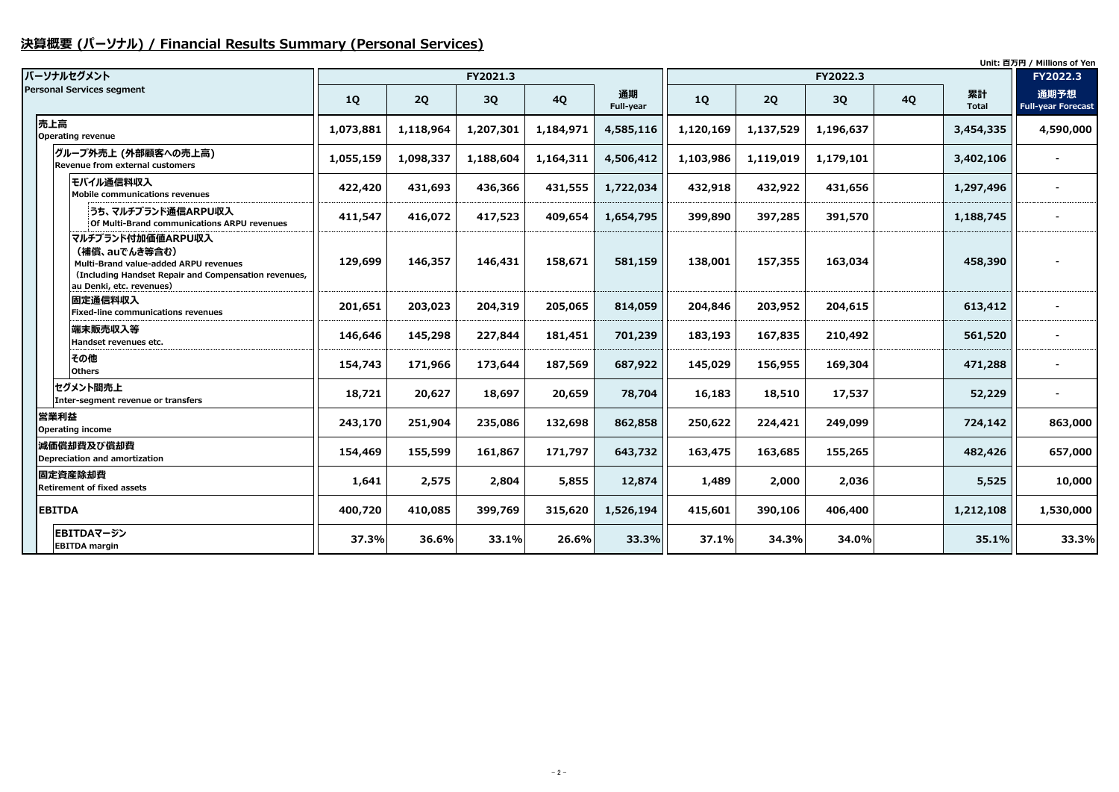# **決算概要 (パーソナル) / Financial Results Summary (Personal Services)**

|                                                                                                                                                                 |           |           |           |           |                 |           |           |           |           |                    | Unit: 百万円 / Millions of Yen       |
|-----------------------------------------------------------------------------------------------------------------------------------------------------------------|-----------|-----------|-----------|-----------|-----------------|-----------|-----------|-----------|-----------|--------------------|-----------------------------------|
| パーソナルセグメント                                                                                                                                                      |           |           | FY2021.3  |           |                 |           |           | FY2022.3  |           |                    | FY2022.3                          |
| <b>Personal Services segment</b>                                                                                                                                | 1Q        | 2Q        | <b>3Q</b> | <b>4Q</b> | 通期<br>Full-year | <b>1Q</b> | 2Q        | 3Q        | <b>4Q</b> | 累計<br><b>Total</b> | 通期予想<br><b>Full-year Forecast</b> |
| 売上高<br><b>Operating revenue</b>                                                                                                                                 | 1,073,881 | 1,118,964 | 1,207,301 | 1,184,971 | 4,585,116       | 1,120,169 | 1,137,529 | 1,196,637 |           | 3,454,335          | 4,590,000                         |
| グループ外売上 (外部顧客への売上高)<br>Revenue from external customers                                                                                                          | 1,055,159 | 1,098,337 | 1,188,604 | 1,164,311 | 4,506,412       | 1,103,986 | 1,119,019 | 1,179,101 |           | 3,402,106          |                                   |
| モバイル通信料収入<br><b>Mobile communications revenues</b>                                                                                                              | 422,420   | 431,693   | 436,366   | 431,555   | 1,722,034       | 432,918   | 432,922   | 431,656   |           | 1,297,496          |                                   |
| うち、マルチブランド通信ARPU収入<br>Of Multi-Brand communications ARPU revenues                                                                                               | 411,547   | 416,072   | 417,523   | 409,654   | 1,654,795       | 399,890   | 397,285   | 391,570   |           | 1,188,745          |                                   |
| マルチブランド付加価値ARPU収入<br>(補償、auでんき等含む)<br>Multi-Brand value-added ARPU revenues<br>(Including Handset Repair and Compensation revenues,<br>au Denki, etc. revenues) | 129,699   | 146,357   | 146,431   | 158,671   | 581,159         | 138,001   | 157,355   | 163,034   |           | 458,390            |                                   |
| 固定通信料収入<br><b>Fixed-line communications revenues</b>                                                                                                            | 201,651   | 203,023   | 204,319   | 205,065   | 814,059         | 204,846   | 203,952   | 204,615   |           | 613,412            |                                   |
| 端末販売収入等<br>Handset revenues etc.                                                                                                                                | 146,646   | 145,298   | 227,844   | 181,451   | 701,239         | 183,193   | 167,835   | 210,492   |           | 561,520            |                                   |
| その他<br><b>Others</b>                                                                                                                                            | 154,743   | 171,966   | 173,644   | 187,569   | 687,922         | 145,029   | 156,955   | 169,304   |           | 471,288            |                                   |
| セグメント間売上<br>Inter-segment revenue or transfers                                                                                                                  | 18,721    | 20,627    | 18,697    | 20,659    | 78,704          | 16,183    | 18,510    | 17,537    |           | 52,229             |                                   |
| 営業利益<br>Operating income                                                                                                                                        | 243,170   | 251,904   | 235,086   | 132,698   | 862,858         | 250,622   | 224,421   | 249,099   |           | 724,142            | 863,000                           |
| 減価償却費及び償却費<br>Depreciation and amortization                                                                                                                     | 154,469   | 155,599   | 161,867   | 171,797   | 643,732         | 163,475   | 163,685   | 155,265   |           | 482,426            | 657,000                           |
| 固定資産除却費<br><b>Retirement of fixed assets</b>                                                                                                                    | 1,641     | 2,575     | 2,804     | 5,855     | 12,874          | 1,489     | 2,000     | 2,036     |           | 5,525              | 10,000                            |
| <b>EBITDA</b>                                                                                                                                                   | 400,720   | 410,085   | 399,769   | 315,620   | 1,526,194       | 415,601   | 390,106   | 406,400   |           | 1,212,108          | 1,530,000                         |
| EBITDAマージン<br><b>EBITDA margin</b>                                                                                                                              | 37.3%     | 36.6%     | 33.1%     | 26.6%     | 33.3%           | 37.1%     | 34.3%     | 34.0%     |           | 35.1%              | 33.3%                             |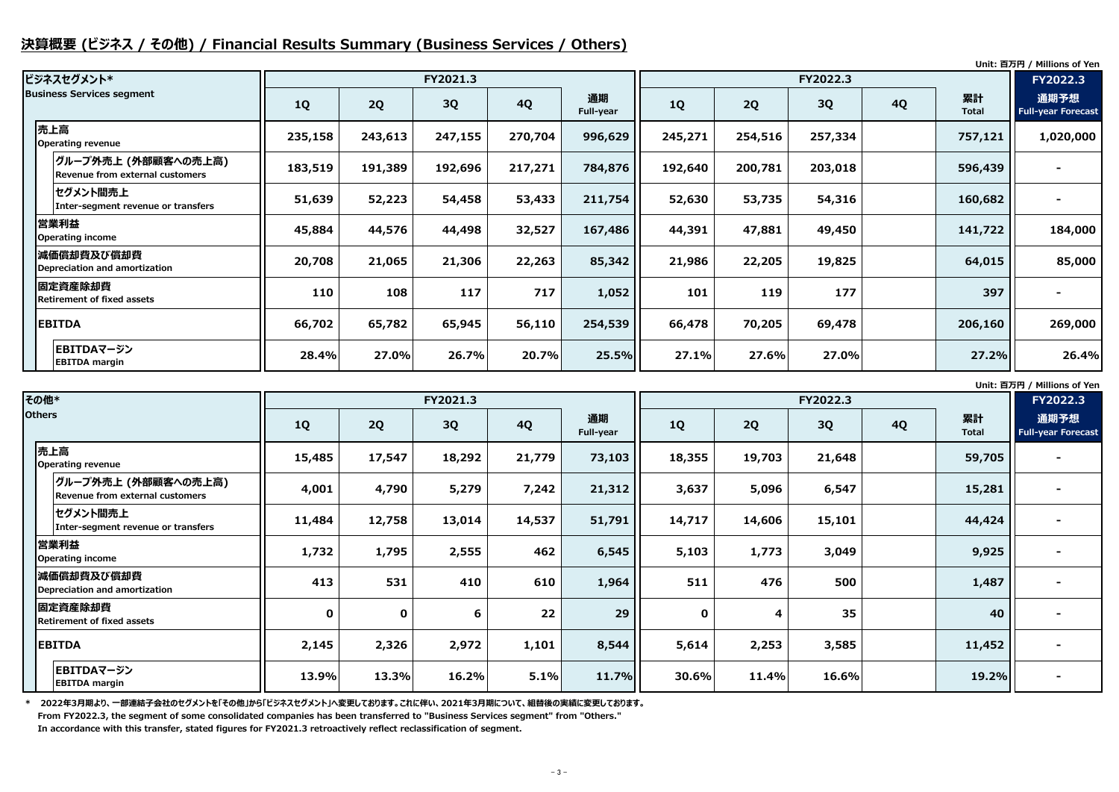# **決算概要 (ビジネス / その他) / Financial Results Summary (Business Services / Others)**

**Unit: 百万円 / Millions of Yen**

**Unit: 百万円 / Millions of Yen**

| ビジネスセグメント*                                              |           |         | FY2021.3 |           |                 | FY2022.3  |           |         |           |                    | FY2022.3                          |
|---------------------------------------------------------|-----------|---------|----------|-----------|-----------------|-----------|-----------|---------|-----------|--------------------|-----------------------------------|
| <b>Business Services segment</b>                        | <b>1Q</b> | 2Q      | 3Q       | <b>4Q</b> | 通期<br>Full-year | <b>1Q</b> | <b>2Q</b> | 3Q      | <b>4Q</b> | 累計<br><b>Total</b> | 通期予想<br><b>Full-year Forecast</b> |
| 売上高<br>Operating revenue                                | 235,158   | 243,613 | 247,155  | 270,704   | 996,629         | 245,271   | 254,516   | 257,334 |           | 757,121            | 1,020,000                         |
| グループ外売上 (外部顧客への売上高) <br>Revenue from external customers | 183,519   | 191,389 | 192,696  | 217,271   | 784,876         | 192,640   | 200,781   | 203,018 |           | 596,439            |                                   |
| セグメント間売上<br>Inter-segment revenue or transfers          | 51,639    | 52,223  | 54,458   | 53,433    | 211,754         | 52,630    | 53,735    | 54,316  |           | 160,682            |                                   |
| 営業利益<br><b>Operating income</b>                         | 45,884    | 44,576  | 44,498   | 32,527    | 167,486         | 44,391    | 47,881    | 49,450  |           | 141,722            | 184,000                           |
| 減価償却費及び償却費<br>Depreciation and amortization             | 20,708    | 21,065  | 21,306   | 22,263    | 85,342          | 21,986    | 22,205    | 19,825  |           | 64,015             | 85,000                            |
| 固定資産除却費<br><b>Retirement of fixed assets</b>            | 110       | 108     | 117      | 717       | 1,052           | 101       | 119       | 177     |           | 397                |                                   |
| <b>EBITDA</b>                                           | 66,702    | 65,782  | 65,945   | 56,110    | 254,539         | 66,478    | 70,205    | 69,478  |           | 206,160            | 269,000                           |
| EBITDAマージン<br><b>EBITDA</b> margin                      | 28.4%     | 27.0%   | 26.7%    | 20.7%     | 25.5%           | 27.1%     | 27.6%     | 27.0%   |           | 27.2%              | 26.4%                             |

**\* 2022年3月期より、一部連結子会社のセグメントを「その他」から「ビジネスセグメント」へ変更しております。これに伴い、2021年3月期について、組替後の実績に変更しております。 From FY2022.3, the segment of some consolidated companies has been transferred to "Business Services segment" from "Others."** 

**In accordance with this transfer, stated figures for FY2021.3 retroactively reflect reclassification of segment.**

| その他*          |                                                        |             |             | FY2021.3 |           |                 |             |        | <b>PHILE EXPLITE</b> FINITIONS OF TUR<br>FY2022.3 |           |                    |                                   |
|---------------|--------------------------------------------------------|-------------|-------------|----------|-----------|-----------------|-------------|--------|---------------------------------------------------|-----------|--------------------|-----------------------------------|
| <b>Others</b> |                                                        | <b>1Q</b>   | 2Q          | 3Q       | <b>4Q</b> | 通期<br>Full-year | 1Q          | 2Q     | 3Q                                                | <b>4Q</b> | 累計<br><b>Total</b> | 通期予想<br><b>Full-year Forecast</b> |
|               | 売上高<br>Operating revenue                               | 15,485      | 17,547      | 18,292   | 21,779    | 73,103          | 18,355      | 19,703 | 21,648                                            |           | 59,705             |                                   |
|               | グループ外売上 (外部顧客への売上高)<br>Revenue from external customers | 4,001       | 4,790       | 5,279    | 7,242     | 21,312          | 3,637       | 5,096  | 6,547                                             |           | 15,281             |                                   |
|               | セグメント間売上<br>Inter-segment revenue or transfers         | 11,484      | 12,758      | 13,014   | 14,537    | 51,791          | 14,717      | 14,606 | 15,101                                            |           | 44,424             |                                   |
|               | 営業利益<br><b>Operating income</b>                        | 1,732       | 1,795       | 2,555    | 462       | 6,545           | 5,103       | 1,773  | 3,049                                             |           | 9,925              |                                   |
|               | 減価償却費及び償却費<br>Depreciation and amortization            | 413         | 531         | 410      | 610       | 1,964           | 511         | 476    | 500                                               |           | 1,487              |                                   |
|               | 固定資産除却費<br><b>Retirement of fixed assets</b>           | $\mathbf 0$ | $\mathbf 0$ | 6        | 22        | 29              | $\mathbf 0$ | 4      | 35                                                |           | 40                 |                                   |
|               | <b>EBITDA</b>                                          | 2,145       | 2,326       | 2,972    | 1,101     | 8,544           | 5,614       | 2,253  | 3,585                                             |           | 11,452             |                                   |
|               | EBITDAマージン<br><b>EBITDA</b> margin                     | 13.9%       | 13.3%       | 16.2%    | 5.1%      | 11.7%           | 30.6%       | 11.4%  | 16.6%                                             |           | 19.2%              |                                   |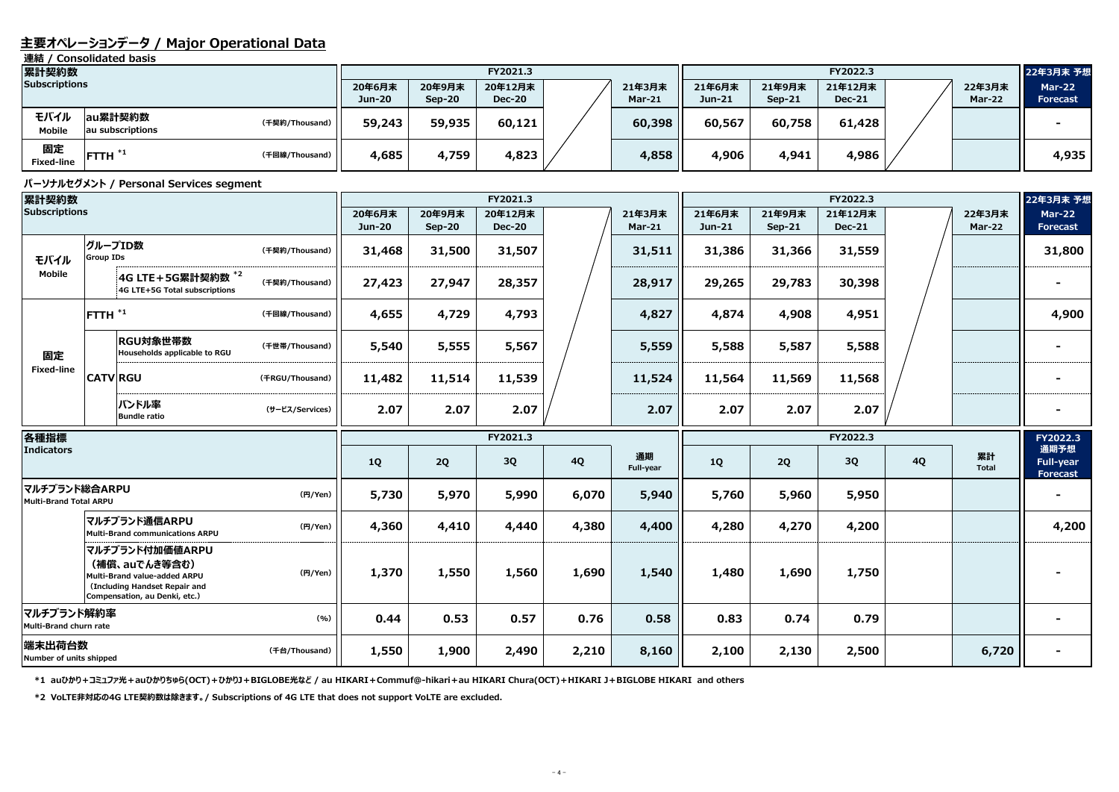### **主要オペレーションデータ / Major Operational Data**

**連結 / Consolidated basis**

#### **パーソナルセグメント / Personal Services segment**

**\*1 auひかり+コミュファ光+auひかりちゅら(OCT)+ひかりJ+BIGLOBE光など / au HIKARI+Commuf@-hikari+au HIKARI Chura(OCT)+HIKARI J+BIGLOBE HIKARI and others**

| 累計契約数                 |                             |                | FY2021.3 |          |               |  |        | FY2022.3      |          |               |  |        | 22年3月末 予想       |
|-----------------------|-----------------------------|----------------|----------|----------|---------------|--|--------|---------------|----------|---------------|--|--------|-----------------|
| <b>Subscriptions</b>  |                             |                | 20年6月末   | 20年9月末   | 20年12月末       |  | 21年3月末 | 21年6月末        | 21年9月末   | 21年12月末       |  | 22年3月末 | <b>Mar-22</b>   |
|                       |                             |                | Jun-20   | $Sep-20$ | <b>Dec-20</b> |  | Mar-21 | <b>Jun-21</b> | $Sep-21$ | <b>Dec-21</b> |  | Mar-22 | <b>Forecast</b> |
| モバイル<br><b>Mobile</b> | au累計契約数<br>au subscriptions | (千契約/Thousand) | 59,243   | 59,935   | 60,121        |  | 60,398 | 60,567        | 60,758   | 61,428        |  |        |                 |
| 固定<br>Fixed-line      | $\mid$ FTTH $^{*1}$         | (千回線/Thousand) | 4,685    | 4,759    | 4,823         |  | 4,858  | 4,906         | 4,941    | 4,986         |  |        | 4,935           |

| 累計契約数                                   |                      |                                                                                                                                    |                 | FY2021.3                |                         |                          |           |                    | FY2022.3                |                    |                          |           |                         |                                      |
|-----------------------------------------|----------------------|------------------------------------------------------------------------------------------------------------------------------------|-----------------|-------------------------|-------------------------|--------------------------|-----------|--------------------|-------------------------|--------------------|--------------------------|-----------|-------------------------|--------------------------------------|
| <b>Subscriptions</b>                    |                      |                                                                                                                                    |                 | 20年6月末<br><b>Jun-20</b> | 20年9月末<br><b>Sep-20</b> | 20年12月末<br><b>Dec-20</b> |           | 21年3月末<br>$Mar-21$ | 21年6月末<br><b>Jun-21</b> | 21年9月末<br>$Sep-21$ | 21年12月末<br><b>Dec-21</b> |           | 22年3月末<br><b>Mar-22</b> | <b>Mar-22</b><br><b>Forecast</b>     |
| モバイル                                    | <b>Group IDs</b>     | グループID数                                                                                                                            | (千契約/Thousand)  | 31,468                  | 31,500                  | 31,507                   |           | 31,511             | 31,386                  | 31,366             | 31,559                   |           |                         | 31,800                               |
| <b>Mobile</b>                           |                      | 4G LTE + 5G累計契約数 *2<br>4G LTE+5G Total subscriptions                                                                               | (千契約/Thousand)  | 27,423                  | 27,947                  | 28,357                   |           | 28,917             | 29,265                  | 29,783             | 30,398                   |           |                         |                                      |
|                                         | $FTTH$ <sup>*1</sup> |                                                                                                                                    | (千回線/Thousand)  | 4,655                   | 4,729                   | 4,793                    |           | 4,827              | 4,874                   | 4,908              | 4,951                    |           |                         | 4,900                                |
| 固定                                      |                      | RGU対象世帯数<br>Households applicable to RGU                                                                                           | (千世帯/Thousand)  | 5,540                   | 5,555                   | 5,567                    |           | 5,559              | 5,588                   | 5,587              | 5,588                    |           |                         |                                      |
| <b>Fixed-line</b>                       |                      | <b>CATV RGU</b>                                                                                                                    | (FRGU/Thousand) | 11,482                  | 11,514                  | 11,539                   |           | 11,524             | 11,564                  | 11,569             | 11,568                   |           |                         |                                      |
|                                         |                      | バンドル率<br><b>Bundle ratio</b>                                                                                                       | (サービス/Services) | 2.07                    | 2.07                    | 2.07                     |           | 2.07               | 2.07                    | 2.07               | 2.07                     |           |                         |                                      |
| 各種指標                                    |                      |                                                                                                                                    |                 |                         |                         | FY2021.3                 |           |                    |                         |                    | FY2022.3                 |           |                         | FY2022.3                             |
| <b>Indicators</b>                       |                      |                                                                                                                                    |                 | 1Q                      | 2Q                      | 3Q                       | <b>4Q</b> | 通期<br>Full-year    | <b>1Q</b>               | 2Q                 | 3Q                       | <b>4Q</b> | 累計<br><b>Total</b>      | 通期予想<br><b>Full-year</b><br>Forecast |
| マルチブランド総合ARPU<br>Multi-Brand Total ARPU |                      |                                                                                                                                    | (円/Yen)         | 5,730                   | 5,970                   | 5,990                    | 6,070     | 5,940              | 5,760                   | 5,960              | 5,950                    |           |                         | $\qquad \qquad \blacksquare$         |
|                                         |                      | マルチブランド通信ARPU<br><b>Multi-Brand communications ARPU</b>                                                                            | (円/Yen)         | 4,360                   | 4,410                   | 4,440                    | 4,380     | 4,400              | 4,280                   | 4,270              | 4,200                    |           |                         | 4,200                                |
|                                         |                      | マルチブランド付加価値ARPU<br>(補償、auでんき等含む)<br>Multi-Brand value-added ARPU<br>(Including Handset Repair and<br>Compensation, au Denki, etc.) | (円/Yen)         | 1,370                   | 1,550                   | 1,560                    | 1,690     | 1,540              | 1,480                   | 1,690              | 1,750                    |           |                         |                                      |
| マルチブランド解約率<br>Multi-Brand churn rate    |                      |                                                                                                                                    | (9/6)           | 0.44                    | 0.53                    | 0.57                     | 0.76      | 0.58               | 0.83                    | 0.74               | 0.79                     |           |                         |                                      |
| 端末出荷台数<br>Number of units shipped       |                      |                                                                                                                                    | (千台/Thousand)   | 1,550                   | 1,900                   | 2,490                    | 2,210     | 8,160              | 2,100                   | 2,130              | 2,500                    |           | 6,720                   |                                      |

**\*2 VoLTE非対応の4G LTE契約数は除きます。/ Subscriptions of 4G LTE that does not support VoLTE are excluded.**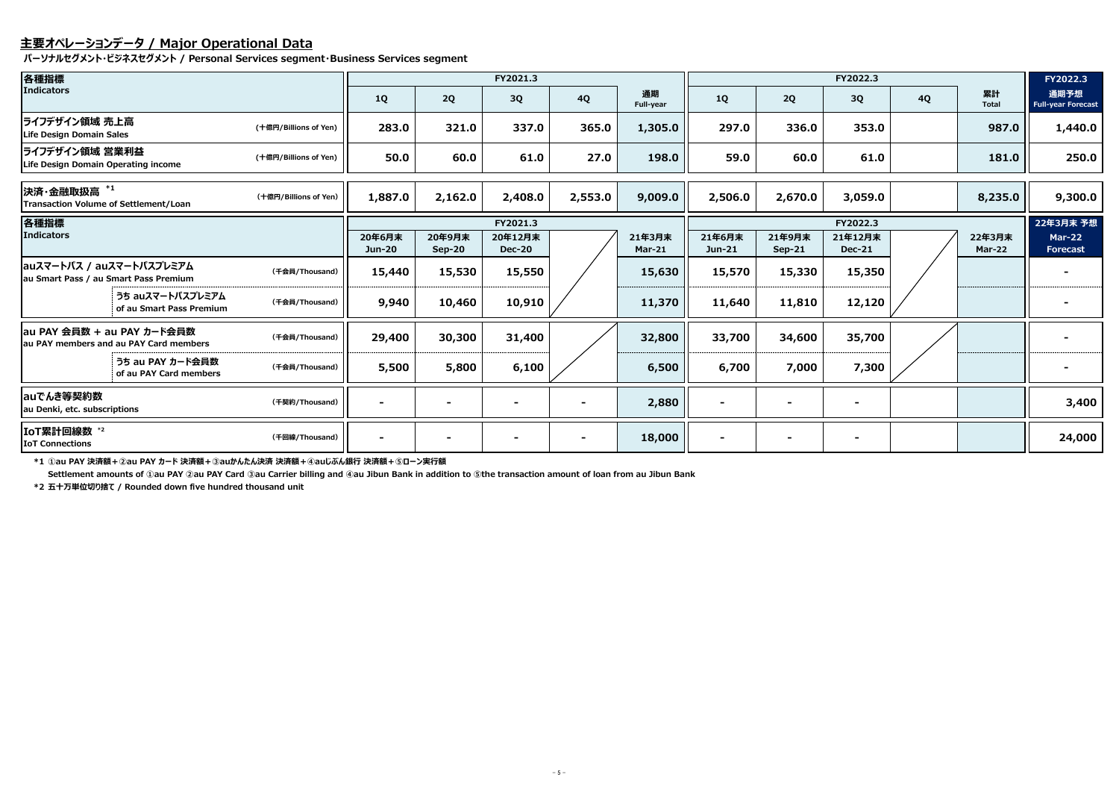## **主要オペレーションデータ / Major Operational Data**

**パーソナルセグメント・ビジネスセグメント / Personal Services segment・Business Services segment**

**\*1 ①au PAY 決済額+②au PAY カード 決済額+③auかんたん決済 決済額+④auじぶん銀行 決済額+⑤ローン実行額**

**Settlement amounts of ①au PAY ②au PAY Card ③au Carrier billing and ④au Jibun Bank in addition to ⑤the transaction amount of loan from au Jibun Bank**

| 各種指標                                                  |                                                                      |                       |                         |                    | FY2021.3                 |           |                         | FY2022.3           |                    |                          |           |                    | FY2022.3                          |  |
|-------------------------------------------------------|----------------------------------------------------------------------|-----------------------|-------------------------|--------------------|--------------------------|-----------|-------------------------|--------------------|--------------------|--------------------------|-----------|--------------------|-----------------------------------|--|
| <b>Indicators</b>                                     |                                                                      |                       | <b>1Q</b>               | 2Q                 | 3Q                       | <b>4Q</b> | 通期<br>Full-year         | <b>1Q</b>          | 2Q                 | 3Q                       | <b>4Q</b> | 累計<br><b>Total</b> | 通期予想<br><b>Full-year Forecast</b> |  |
| ライフデザイン領域 売上高<br>Life Design Domain Sales             |                                                                      | (十億円/Billions of Yen) | 283.0                   | 321.0              | 337.0                    | 365.0     | 1,305.0                 | 297.0              | 336.0              | 353.0                    |           | 987.0              | 1,440.0                           |  |
| ライフデザイン領域 営業利益<br>Life Design Domain Operating income |                                                                      | (十億円/Billions of Yen) | 50.0                    | 60.0               | 61.0                     | 27.0      | 198.0                   | 59.0               | 60.0               | 61.0                     |           | 181.0              | 250.0                             |  |
| 決済·金融取扱高 *1<br>Transaction Volume of Settlement/Loan  |                                                                      | (十億円/Billions of Yen) | 1,887.0                 | 2,162.0            | 2,408.0                  | 2,553.0   | 9,009.0                 | 2,506.0            | 2,670.0            | 3,059.0                  |           | 8,235.0            | 9,300.0                           |  |
| 各種指標                                                  |                                                                      |                       |                         |                    | FY2021.3                 |           |                         |                    | FY2022.3           |                          |           |                    |                                   |  |
| Indicators                                            |                                                                      |                       | 20年6月末<br><b>Jun-20</b> | 20年9月末<br>$Sep-20$ | 20年12月末<br><b>Dec-20</b> |           | 21年3月末<br><b>Mar-21</b> | 21年6月末<br>$Jun-21$ | 21年9月末<br>$Sep-21$ | 21年12月末<br><b>Dec-21</b> |           | 22年3月末<br>Mar-22   | <b>Mar-22</b><br><b>Forecast</b>  |  |
| auスマートパス / auスマートパスプレミアム                              | au Smart Pass / au Smart Pass Premium                                | (千会員/Thousand)        | 15,440                  | 15,530             | 15,550                   |           | 15,630                  | 15,570             | 15,330             | 15,350                   |           |                    |                                   |  |
|                                                       | うち auスマートパスプレミアム<br>of au Smart Pass Premium                         | (千会員/Thousand)        | 9,940                   | 10,460             | 10,910                   |           | 11,370                  | 11,640             | 11,810             | 12,120                   |           |                    |                                   |  |
|                                                       | au PAY 会員数 + au PAY カード会員数<br>au PAY members and au PAY Card members | (千会員/Thousand)        | 29,400                  | 30,300             | 31,400                   |           | 32,800                  | 33,700             | 34,600             | 35,700                   |           |                    |                                   |  |
|                                                       | うち au PAY カード会員数<br>of au PAY Card members                           | (千会員/Thousand)        | 5,500                   | 5,800              | 6,100                    |           | 6,500                   | 6,700              | 7,000              | 7,300                    |           |                    |                                   |  |
| auでんき等契約数<br>au Denki, etc. subscriptions             |                                                                      | (千契約/Thousand)        |                         |                    |                          |           | 2,880                   | $\blacksquare$     |                    | $\overline{\phantom{a}}$ |           |                    | 3,400                             |  |
| IoT累計回線数 *2<br><b>IoT Connections</b>                 |                                                                      | (千回線/Thousand)        |                         |                    |                          |           | 18,000                  |                    |                    | $\blacksquare$           |           |                    | 24,000                            |  |

**\*2 五十万単位切り捨て / Rounded down five hundred thousand unit**